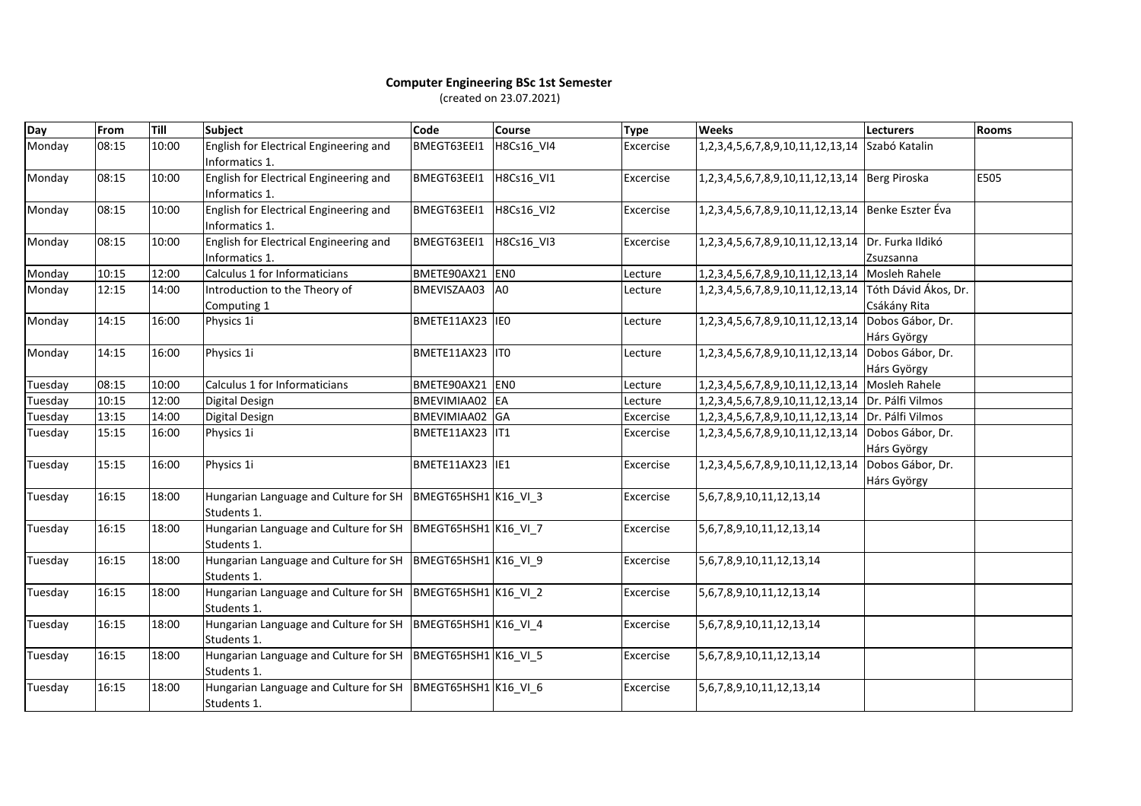## **Computer Engineering BSc 1st Semester** (created on 23.07.2021)

| Day     | From  | Till  | Subject                                                                       | Code            | Course         | <b>Type</b> | <b>Weeks</b>                                      | <b>Lecturers</b>                     | <b>Rooms</b> |
|---------|-------|-------|-------------------------------------------------------------------------------|-----------------|----------------|-------------|---------------------------------------------------|--------------------------------------|--------------|
| Monday  | 08:15 | 10:00 | English for Electrical Engineering and<br>Informatics 1.                      | BMEGT63EEI1     | H8Cs16_VI4     | Excercise   | 1, 2, 3, 4, 5, 6, 7, 8, 9, 10, 11, 12, 13, 14     | Szabó Katalin                        |              |
| Monday  | 08:15 | 10:00 | English for Electrical Engineering and<br>Informatics 1.                      | BMEGT63EEI1     | H8Cs16 VI1     | Excercise   | 1,2,3,4,5,6,7,8,9,10,11,12,13,14 Berg Piroska     |                                      | E505         |
| Monday  | 08:15 | 10:00 | English for Electrical Engineering and<br>Informatics 1.                      | BMEGT63EEI1     | H8Cs16_VI2     | Excercise   | 1,2,3,4,5,6,7,8,9,10,11,12,13,14 Benke Eszter Éva |                                      |              |
| Monday  | 08:15 | 10:00 | English for Electrical Engineering and<br>Informatics 1.                      | BMEGT63EEI1     | H8Cs16_VI3     | Excercise   | 1,2,3,4,5,6,7,8,9,10,11,12,13,14 Dr. Furka Ildikó | Zsuzsanna                            |              |
| Monday  | 10:15 | 12:00 | Calculus 1 for Informaticians                                                 | BMETE90AX21 EN0 |                | Lecture     | 1, 2, 3, 4, 5, 6, 7, 8, 9, 10, 11, 12, 13, 14     | Mosleh Rahele                        |              |
| Monday  | 12:15 | 14:00 | Introduction to the Theory of<br>Computing 1                                  | BMEVISZAA03     | A <sub>0</sub> | Lecture     | 1,2,3,4,5,6,7,8,9,10,11,12,13,14                  | Tóth Dávid Ákos, Dr.<br>Csákány Rita |              |
| Monday  | 14:15 | 16:00 | Physics 1i                                                                    | BMETE11AX23 IE0 |                | Lecture     | 1,2,3,4,5,6,7,8,9,10,11,12,13,14                  | Dobos Gábor, Dr.<br>Hárs György      |              |
| Monday  | 14:15 | 16:00 | Physics 1i                                                                    | BMETE11AX23 IT0 |                | Lecture     | 1, 2, 3, 4, 5, 6, 7, 8, 9, 10, 11, 12, 13, 14     | Dobos Gábor, Dr.<br>Hárs György      |              |
| Tuesday | 08:15 | 10:00 | Calculus 1 for Informaticians                                                 | BMETE90AX21 EN0 |                | Lecture     | 1, 2, 3, 4, 5, 6, 7, 8, 9, 10, 11, 12, 13, 14     | Mosleh Rahele                        |              |
| Tuesday | 10:15 | 12:00 | Digital Design                                                                | BMEVIMIAA02 EA  |                | Lecture     | 1, 2, 3, 4, 5, 6, 7, 8, 9, 10, 11, 12, 13, 14     | Dr. Pálfi Vilmos                     |              |
| Tuesday | 13:15 | 14:00 | Digital Design                                                                | BMEVIMIAA02 GA  |                | Excercise   | 1, 2, 3, 4, 5, 6, 7, 8, 9, 10, 11, 12, 13, 14     | Dr. Pálfi Vilmos                     |              |
| Tuesday | 15:15 | 16:00 | Physics 1i                                                                    | BMETE11AX23 IT1 |                | Excercise   | 1, 2, 3, 4, 5, 6, 7, 8, 9, 10, 11, 12, 13, 14     | Dobos Gábor, Dr.<br>Hárs György      |              |
| Tuesday | 15:15 | 16:00 | Physics 1i                                                                    | BMETE11AX23 IE1 |                | Excercise   | 1,2,3,4,5,6,7,8,9,10,11,12,13,14                  | Dobos Gábor, Dr.<br>Hárs György      |              |
| Tuesday | 16:15 | 18:00 | Hungarian Language and Culture for SH   BMEGT65HSH1   K16_VI_3<br>Students 1. |                 |                | Excercise   | 5,6,7,8,9,10,11,12,13,14                          |                                      |              |
| Tuesday | 16:15 | 18:00 | Hungarian Language and Culture for SH   BMEGT65HSH1   K16_VI_7<br>Students 1. |                 |                | Excercise   | 5, 6, 7, 8, 9, 10, 11, 12, 13, 14                 |                                      |              |
| Tuesday | 16:15 | 18:00 | Hungarian Language and Culture for SH   BMEGT65HSH1   K16_VI_9<br>Students 1. |                 |                | Excercise   | 5,6,7,8,9,10,11,12,13,14                          |                                      |              |
| Tuesday | 16:15 | 18:00 | Hungarian Language and Culture for SH   BMEGT65HSH1   K16_VI_2<br>Students 1. |                 |                | Excercise   | 5, 6, 7, 8, 9, 10, 11, 12, 13, 14                 |                                      |              |
| Tuesday | 16:15 | 18:00 | Hungarian Language and Culture for SH   BMEGT65HSH1   K16_VI_4<br>Students 1. |                 |                | Excercise   | 5,6,7,8,9,10,11,12,13,14                          |                                      |              |
| Tuesday | 16:15 | 18:00 | Hungarian Language and Culture for SH   BMEGT65HSH1   K16_VI_5<br>Students 1. |                 |                | Excercise   | 5, 6, 7, 8, 9, 10, 11, 12, 13, 14                 |                                      |              |
| Tuesday | 16:15 | 18:00 | Hungarian Language and Culture for SH   BMEGT65HSH1 K16_VI_6<br>Students 1.   |                 |                | Excercise   | 5, 6, 7, 8, 9, 10, 11, 12, 13, 14                 |                                      |              |